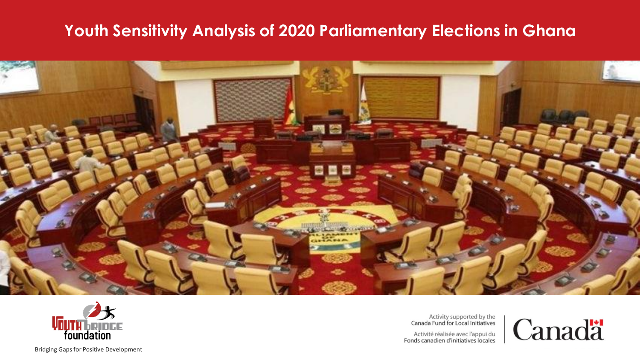



Activity supported by the<br>Canada Fund for Local Initiatives

Activité réalisée avec l'appui du Fonds canadien d'initiatives locales

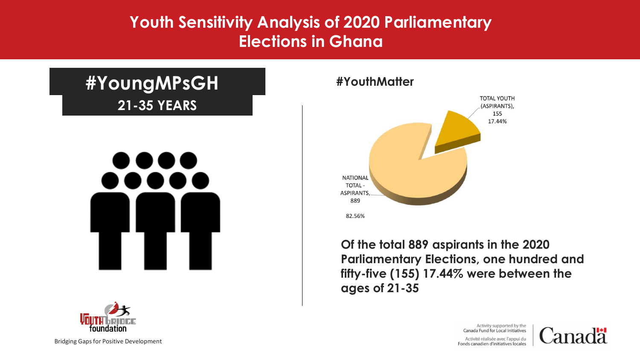## **21-35 YEARS #YoungMPsGH**





**#YouthMatter**



**Of the total 889 aspirants in the 2020 Parliamentary Elections, one hundred and fifty-five (155) 17.44% were between the ages of 21-35**

> Activity supported by the Canada Fund for Local Initiatives Activité réalisée avec l'appui du Fonds canadien d'initiatives locales

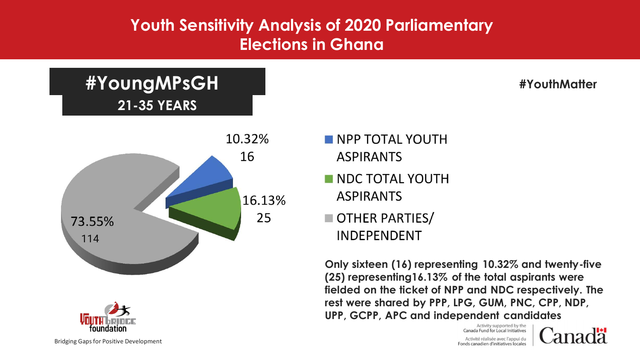## **21-35 YEARS #YoungMPsGH**





**#YouthMatter**

- **NPP TOTAL YOUTH ASPIRANTS**
- NDC TOTAL YOUTH **ASPIRANTS**
- OTHER PARTIES/ **INDEPENDENT**

**Only sixteen (16) representing 10.32% and twenty-five (25) representing16.13% of the total aspirants were fielded on the ticket of NPP and NDC respectively. The rest were shared by PPP, LPG, GUM, PNC, CPP, NDP, UPP, GCPP, APC and independent candidates**

> Activity supported by the Canada Fund for Local Initiatives Activité réalisée avec l'appui du Fonds canadien d'initiatives locales

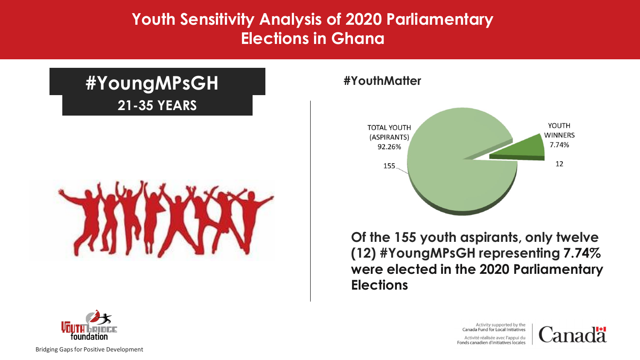## **21-35 YEARS #YoungMPsGH**



#### **#YouthMatter**



**Of the 155 youth aspirants, only twelve (12) #YoungMPsGH representing 7.74% were elected in the 2020 Parliamentary Elections**

> Activity supported by the Canada Fund for Local Initiatives Activité réalisée avec l'appui du Fonds canadien d'initiatives locales



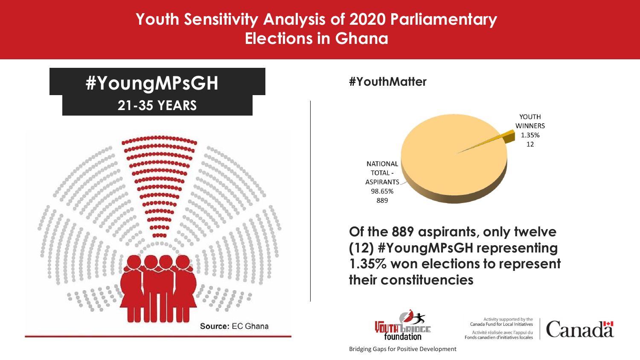#### **Youth Sensitivity Analysis of Sensitivity Youth Sensitivity Analysis of 2020 Parliamentary Elections in Ghana**



#### **#YouthMatter**



**Of the 889 aspirants, only twelve (12) #YoungMPsGH representing 1.35% won elections to represent their constituencies**



Activity supported by the<br>Canada Fund for Local Initiatives Activité réalisée avec l'appui du Fonds canadien d'initiatives locales

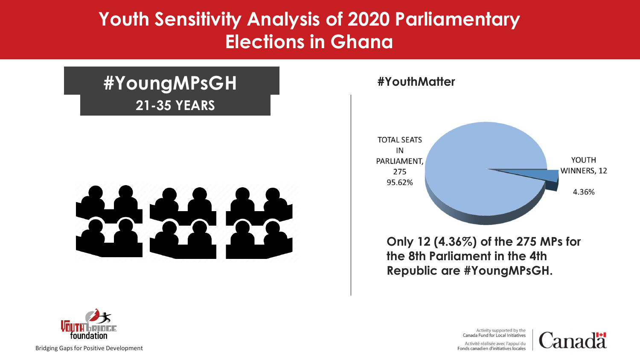## **#YoungMPsGH 21-35 YEARS**



#### **#YouthMatter**



**Only 12 (4.36%) of the 275 MPs for the 8th Parliament in the 4th Republic are #YoungMPsGH.**

> Activity supported by the Canada Fund for Local Initiatives Activité réalisée avec l'appui du Fonds canadien d'initiatives locales



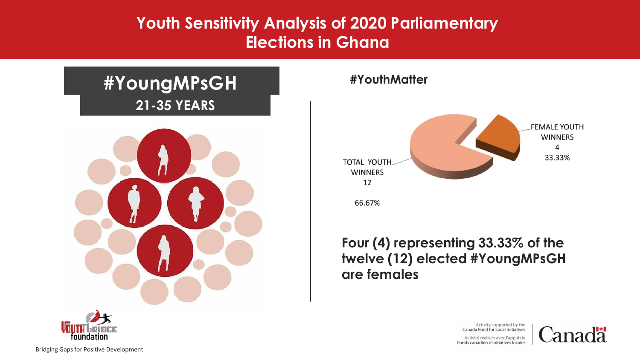## **#YoungMPsGH 21-35 YEARS**



#### **#YouthMatter**



#### **Four (4) representing 33.33% of the twelve (12) elected #YoungMPsGH are females**

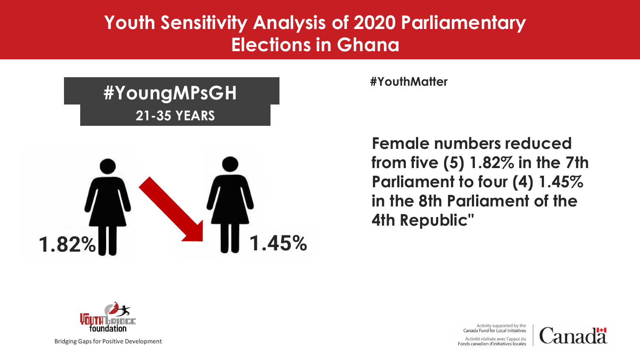# **#YoungMPsGH 21-35 YEARS**



**#YouthMatter**

**Female numbers reduced from five (5) 1.82% in the 7th Parliament to four (4) 1.45% in the 8th Parliament of the 4th Republic"**



Bridging Gaps for Positive Development

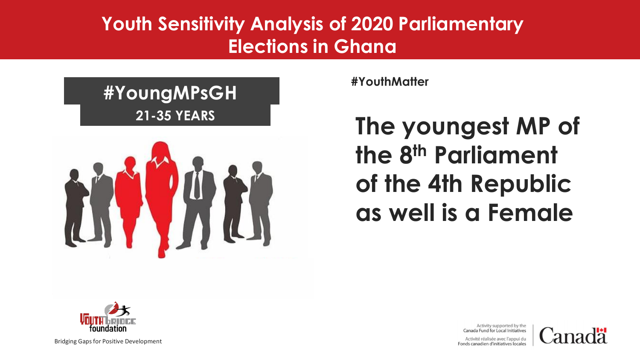# **#YoungMPsGH 21-35 YEARS**



**#YouthMatter**

**The youngest MP of the 8th Parliament of the 4th Republic as well is a Female**



Bridging Gaps for Positive Development

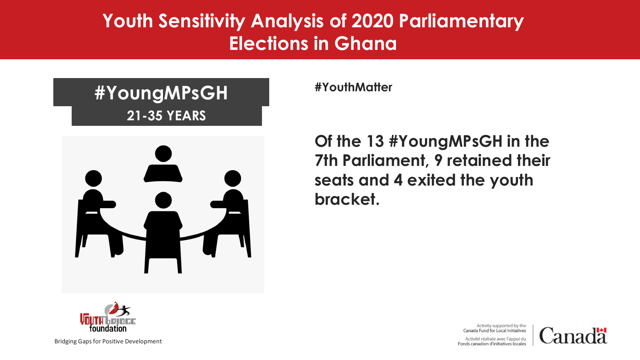## **#YouthMatter #YoungMPsGH 21-35 YEARS**



**Of the 13 #YoungMPsGH in the 7th Parliament, 9 retained their seats and 4 exited the youth bracket.**



Bridging Gaps for Positive Development

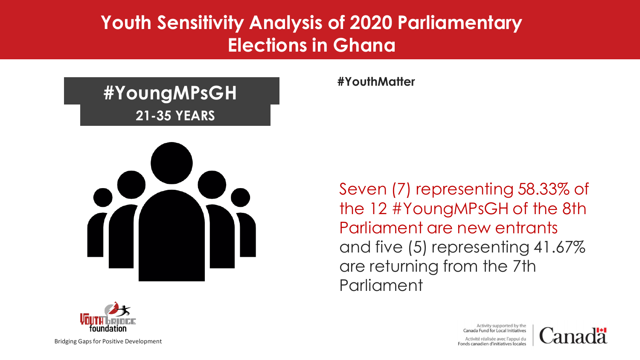# **#YoungMPsGH 21-35 YEARS**



**#YouthMatter**

Seven (7) representing 58.33% of the 12 #YoungMPsGH of the 8th Parliament are new entrants and five (5) representing 41.67% are returning from the 7th **Parliament** 



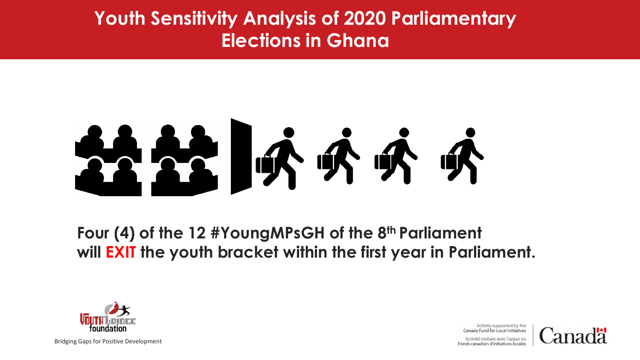

**Four (4) of the 12 #YoungMPsGH of the 8th Parliament will EXIT the youth bracket within the first year in Parliament.**



Bridging Gaps for Positive Development